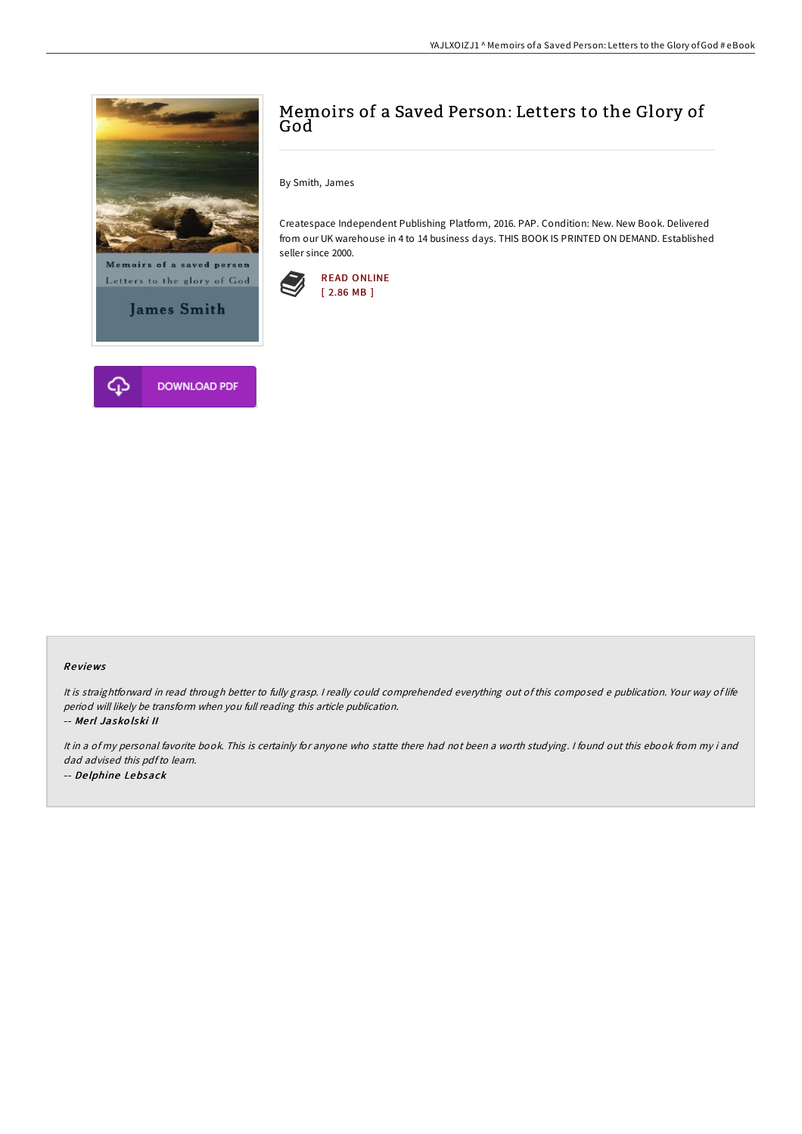

**James Smith** 



# Memoirs of a Saved Person: Letters to the Glory of God

By Smith, James

Createspace Independent Publishing Platform, 2016. PAP. Condition: New. New Book. Delivered from our UK warehouse in 4 to 14 business days. THIS BOOK IS PRINTED ON DEMAND. Established seller since 2000.



#### Re views

It is straightforward in read through better to fully grasp. <sup>I</sup> really could comprehended everything out of this composed <sup>e</sup> publication. Your way of life period will likely be transform when you full reading this article publication.

-- Me rl Jasko lski II

It in <sup>a</sup> of my personal favorite book. This is certainly for anyone who statte there had not been <sup>a</sup> worth studying. <sup>I</sup> found out this ebook from my i and dad advised this pdfto learn. -- De lphine Lebsack